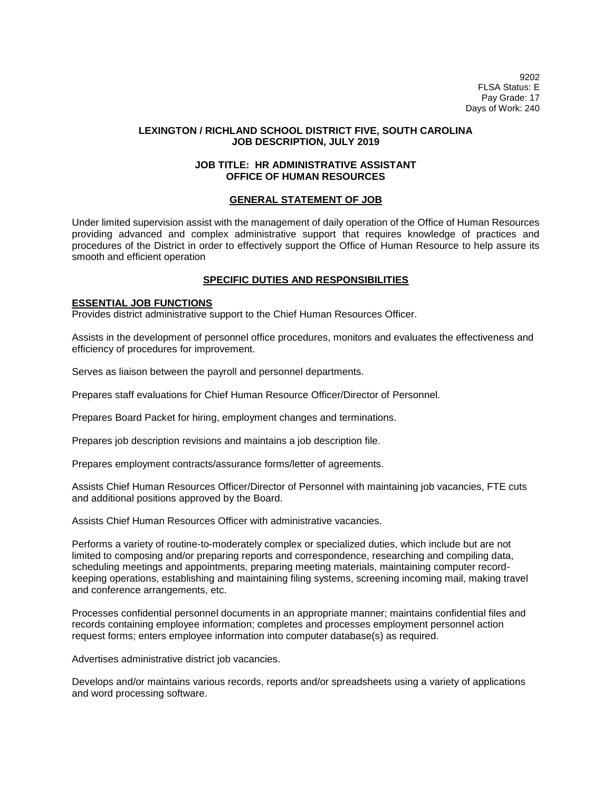9202 FLSA Status: E Pay Grade: 17 Days of Work: 240

## **LEXINGTON / RICHLAND SCHOOL DISTRICT FIVE, SOUTH CAROLINA JOB DESCRIPTION, JULY 2019**

### **JOB TITLE: HR ADMINISTRATIVE ASSISTANT OFFICE OF HUMAN RESOURCES**

### **GENERAL STATEMENT OF JOB**

Under limited supervision assist with the management of daily operation of the Office of Human Resources providing advanced and complex administrative support that requires knowledge of practices and procedures of the District in order to effectively support the Office of Human Resource to help assure its smooth and efficient operation

## **SPECIFIC DUTIES AND RESPONSIBILITIES**

### **ESSENTIAL JOB FUNCTIONS**

Provides district administrative support to the Chief Human Resources Officer.

Assists in the development of personnel office procedures, monitors and evaluates the effectiveness and efficiency of procedures for improvement.

Serves as liaison between the payroll and personnel departments.

Prepares staff evaluations for Chief Human Resource Officer/Director of Personnel.

Prepares Board Packet for hiring, employment changes and terminations.

Prepares job description revisions and maintains a job description file.

Prepares employment contracts/assurance forms/letter of agreements.

Assists Chief Human Resources Officer/Director of Personnel with maintaining job vacancies, FTE cuts and additional positions approved by the Board.

Assists Chief Human Resources Officer with administrative vacancies.

Performs a variety of routine-to-moderately complex or specialized duties, which include but are not limited to composing and/or preparing reports and correspondence, researching and compiling data, scheduling meetings and appointments, preparing meeting materials, maintaining computer recordkeeping operations, establishing and maintaining filing systems, screening incoming mail, making travel and conference arrangements, etc.

Processes confidential personnel documents in an appropriate manner; maintains confidential files and records containing employee information; completes and processes employment personnel action request forms; enters employee information into computer database(s) as required.

Advertises administrative district job vacancies.

Develops and/or maintains various records, reports and/or spreadsheets using a variety of applications and word processing software.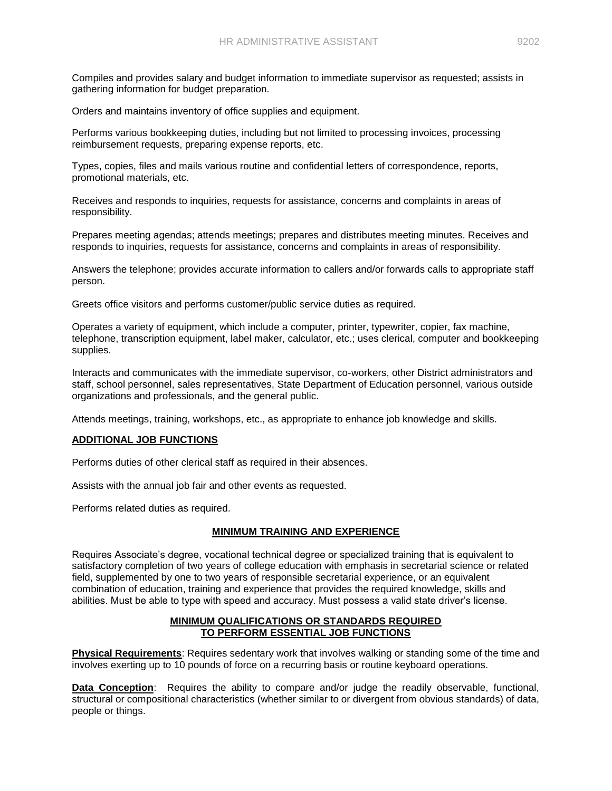Compiles and provides salary and budget information to immediate supervisor as requested; assists in gathering information for budget preparation.

Orders and maintains inventory of office supplies and equipment.

Performs various bookkeeping duties, including but not limited to processing invoices, processing reimbursement requests, preparing expense reports, etc.

Types, copies, files and mails various routine and confidential letters of correspondence, reports, promotional materials, etc.

Receives and responds to inquiries, requests for assistance, concerns and complaints in areas of responsibility.

Prepares meeting agendas; attends meetings; prepares and distributes meeting minutes. Receives and responds to inquiries, requests for assistance, concerns and complaints in areas of responsibility.

Answers the telephone; provides accurate information to callers and/or forwards calls to appropriate staff person.

Greets office visitors and performs customer/public service duties as required.

Operates a variety of equipment, which include a computer, printer, typewriter, copier, fax machine, telephone, transcription equipment, label maker, calculator, etc.; uses clerical, computer and bookkeeping supplies.

Interacts and communicates with the immediate supervisor, co-workers, other District administrators and staff, school personnel, sales representatives, State Department of Education personnel, various outside organizations and professionals, and the general public.

Attends meetings, training, workshops, etc., as appropriate to enhance job knowledge and skills.

# **ADDITIONAL JOB FUNCTIONS**

Performs duties of other clerical staff as required in their absences.

Assists with the annual job fair and other events as requested.

Performs related duties as required.

# **MINIMUM TRAINING AND EXPERIENCE**

Requires Associate's degree, vocational technical degree or specialized training that is equivalent to satisfactory completion of two years of college education with emphasis in secretarial science or related field, supplemented by one to two years of responsible secretarial experience, or an equivalent combination of education, training and experience that provides the required knowledge, skills and abilities. Must be able to type with speed and accuracy. Must possess a valid state driver's license.

## **MINIMUM QUALIFICATIONS OR STANDARDS REQUIRED TO PERFORM ESSENTIAL JOB FUNCTIONS**

**Physical Requirements**: Requires sedentary work that involves walking or standing some of the time and involves exerting up to 10 pounds of force on a recurring basis or routine keyboard operations.

**Data Conception**: Requires the ability to compare and/or judge the readily observable, functional, structural or compositional characteristics (whether similar to or divergent from obvious standards) of data, people or things.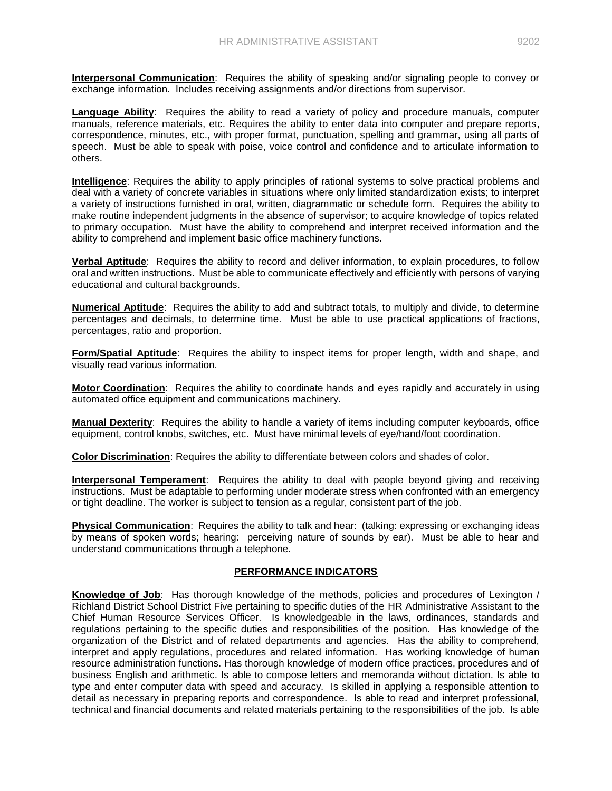**Interpersonal Communication**: Requires the ability of speaking and/or signaling people to convey or exchange information. Includes receiving assignments and/or directions from supervisor.

**Language Ability**: Requires the ability to read a variety of policy and procedure manuals, computer manuals, reference materials, etc. Requires the ability to enter data into computer and prepare reports, correspondence, minutes, etc., with proper format, punctuation, spelling and grammar, using all parts of speech. Must be able to speak with poise, voice control and confidence and to articulate information to others.

**Intelligence**: Requires the ability to apply principles of rational systems to solve practical problems and deal with a variety of concrete variables in situations where only limited standardization exists; to interpret a variety of instructions furnished in oral, written, diagrammatic or schedule form. Requires the ability to make routine independent judgments in the absence of supervisor; to acquire knowledge of topics related to primary occupation. Must have the ability to comprehend and interpret received information and the ability to comprehend and implement basic office machinery functions.

**Verbal Aptitude**: Requires the ability to record and deliver information, to explain procedures, to follow oral and written instructions. Must be able to communicate effectively and efficiently with persons of varying educational and cultural backgrounds.

**Numerical Aptitude**: Requires the ability to add and subtract totals, to multiply and divide, to determine percentages and decimals, to determine time. Must be able to use practical applications of fractions, percentages, ratio and proportion.

**Form/Spatial Aptitude**: Requires the ability to inspect items for proper length, width and shape, and visually read various information.

**Motor Coordination**: Requires the ability to coordinate hands and eyes rapidly and accurately in using automated office equipment and communications machinery.

**Manual Dexterity**: Requires the ability to handle a variety of items including computer keyboards, office equipment, control knobs, switches, etc. Must have minimal levels of eye/hand/foot coordination.

**Color Discrimination**: Requires the ability to differentiate between colors and shades of color.

**Interpersonal Temperament**: Requires the ability to deal with people beyond giving and receiving instructions. Must be adaptable to performing under moderate stress when confronted with an emergency or tight deadline. The worker is subject to tension as a regular, consistent part of the job.

**Physical Communication**: Requires the ability to talk and hear: (talking: expressing or exchanging ideas by means of spoken words; hearing: perceiving nature of sounds by ear). Must be able to hear and understand communications through a telephone.

# **PERFORMANCE INDICATORS**

**Knowledge of Job**: Has thorough knowledge of the methods, policies and procedures of Lexington / Richland District School District Five pertaining to specific duties of the HR Administrative Assistant to the Chief Human Resource Services Officer. Is knowledgeable in the laws, ordinances, standards and regulations pertaining to the specific duties and responsibilities of the position. Has knowledge of the organization of the District and of related departments and agencies. Has the ability to comprehend, interpret and apply regulations, procedures and related information. Has working knowledge of human resource administration functions. Has thorough knowledge of modern office practices, procedures and of business English and arithmetic. Is able to compose letters and memoranda without dictation. Is able to type and enter computer data with speed and accuracy. Is skilled in applying a responsible attention to detail as necessary in preparing reports and correspondence. Is able to read and interpret professional, technical and financial documents and related materials pertaining to the responsibilities of the job. Is able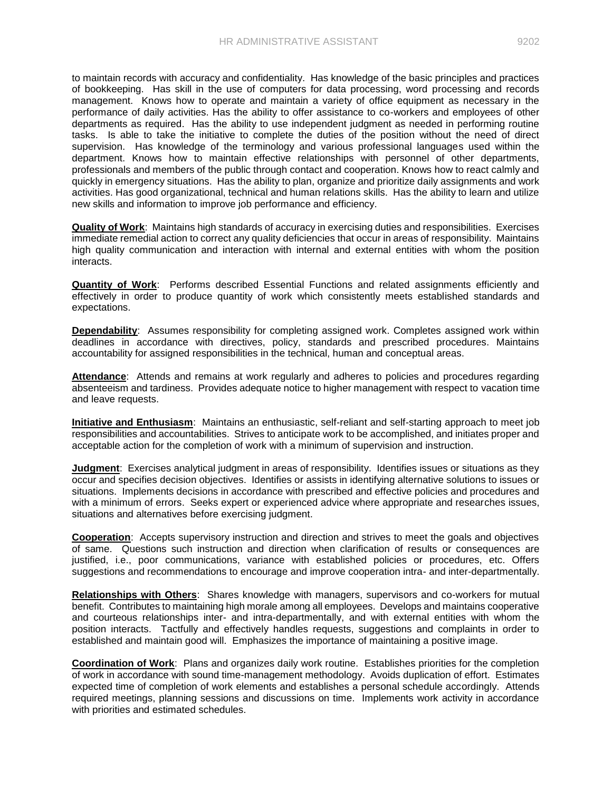to maintain records with accuracy and confidentiality. Has knowledge of the basic principles and practices of bookkeeping. Has skill in the use of computers for data processing, word processing and records management. Knows how to operate and maintain a variety of office equipment as necessary in the performance of daily activities. Has the ability to offer assistance to co-workers and employees of other departments as required. Has the ability to use independent judgment as needed in performing routine tasks. Is able to take the initiative to complete the duties of the position without the need of direct supervision. Has knowledge of the terminology and various professional languages used within the department. Knows how to maintain effective relationships with personnel of other departments, professionals and members of the public through contact and cooperation. Knows how to react calmly and quickly in emergency situations. Has the ability to plan, organize and prioritize daily assignments and work activities. Has good organizational, technical and human relations skills. Has the ability to learn and utilize

**Quality of Work**: Maintains high standards of accuracy in exercising duties and responsibilities. Exercises immediate remedial action to correct any quality deficiencies that occur in areas of responsibility. Maintains high quality communication and interaction with internal and external entities with whom the position interacts.

new skills and information to improve job performance and efficiency.

**Quantity of Work**: Performs described Essential Functions and related assignments efficiently and effectively in order to produce quantity of work which consistently meets established standards and expectations.

**Dependability**: Assumes responsibility for completing assigned work. Completes assigned work within deadlines in accordance with directives, policy, standards and prescribed procedures. Maintains accountability for assigned responsibilities in the technical, human and conceptual areas.

Attendance: Attends and remains at work regularly and adheres to policies and procedures regarding absenteeism and tardiness. Provides adequate notice to higher management with respect to vacation time and leave requests.

**Initiative and Enthusiasm**: Maintains an enthusiastic, self-reliant and self-starting approach to meet job responsibilities and accountabilities. Strives to anticipate work to be accomplished, and initiates proper and acceptable action for the completion of work with a minimum of supervision and instruction.

**Judgment**: Exercises analytical judgment in areas of responsibility. Identifies issues or situations as they occur and specifies decision objectives. Identifies or assists in identifying alternative solutions to issues or situations. Implements decisions in accordance with prescribed and effective policies and procedures and with a minimum of errors. Seeks expert or experienced advice where appropriate and researches issues, situations and alternatives before exercising judgment.

**Cooperation**: Accepts supervisory instruction and direction and strives to meet the goals and objectives of same. Questions such instruction and direction when clarification of results or consequences are justified, i.e., poor communications, variance with established policies or procedures, etc. Offers suggestions and recommendations to encourage and improve cooperation intra- and inter-departmentally.

**Relationships with Others**: Shares knowledge with managers, supervisors and co-workers for mutual benefit. Contributes to maintaining high morale among all employees. Develops and maintains cooperative and courteous relationships inter- and intra-departmentally, and with external entities with whom the position interacts. Tactfully and effectively handles requests, suggestions and complaints in order to established and maintain good will. Emphasizes the importance of maintaining a positive image.

**Coordination of Work**: Plans and organizes daily work routine. Establishes priorities for the completion of work in accordance with sound time-management methodology. Avoids duplication of effort. Estimates expected time of completion of work elements and establishes a personal schedule accordingly. Attends required meetings, planning sessions and discussions on time. Implements work activity in accordance with priorities and estimated schedules.